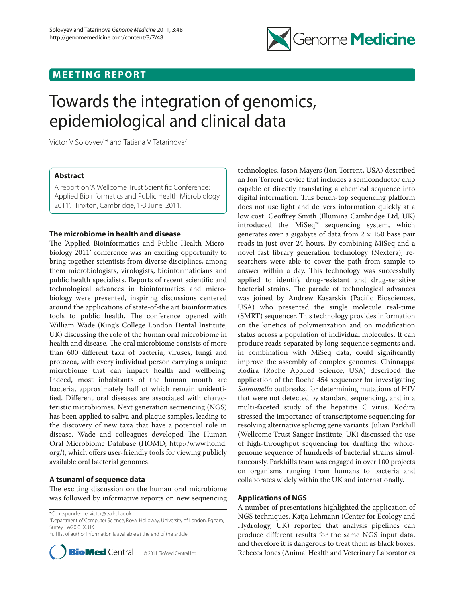

# **MEETING REPORT**

# Towards the integration of genomics, epidemiological and clinical data

Victor V Solovyev<sup>1\*</sup> and Tatiana V Tatarinova<sup>2</sup>

# **Abstract**

A report on 'A Wellcome Trust Scientific Conference: Applied Bioinformatics and Public Health Microbiology 2011', Hinxton, Cambridge, 1-3 June, 2011.

# **The microbiome in health and disease**

The 'Applied Bioinformatics and Public Health Microbiology 2011' conference was an exciting opportunity to bring together scientists from diverse disciplines, among them microbiologists, virologists, bioinformaticians and public health specialists. Reports of recent scientific and technological advances in bioinformatics and microbiology were presented, inspiring discussions centered around the applications of state-of-the art bioinformatics tools to public health. The conference opened with William Wade (King's College London Dental Institute, UK) discussing the role of the human oral microbiome in health and disease. The oral microbiome consists of more than 600 different taxa of bacteria, viruses, fungi and protozoa, with every individual person carrying a unique microbiome that can impact health and wellbeing. Indeed, most inhabitants of the human mouth are bacteria, approximately half of which remain unidentified. Different oral diseases are associated with characteristic microbiomes. Next generation sequencing (NGS) has been applied to saliva and plaque samples, leading to the discovery of new taxa that have a potential role in disease. Wade and colleagues developed The Human Oral Microbiome Database (HOMD; http://www.homd. org/), which offers user-friendly tools for viewing publicly available oral bacterial genomes.

## **A tsunami of sequence data**

The exciting discussion on the human oral microbiome was followed by informative reports on new sequencing

\*Correspondence: victor@cs.rhul.ac.uk

1 Department of Computer Science, Royal Holloway, University of London, Egham, Surrey TW20 0EX, UK

Full list of author information is available at the end of the article



technologies. Jason Mayers (Ion Torrent, USA) described an Ion Torrent device that includes a semiconductor chip capable of directly translating a chemical sequence into digital information. This bench-top sequencing platform does not use light and delivers information quickly at a low cost. Geoffrey Smith (Illumina Cambridge Ltd, UK) introduced the MiSeq™ sequencing system, which generates over a gigabyte of data from  $2 \times 150$  base pair reads in just over 24 hours. By combining MiSeq and a novel fast library generation technology (Nextera), researchers were able to cover the path from sample to answer within a day. This technology was successfully applied to identify drug-resistant and drug-sensitive bacterial strains. The parade of technological advances was joined by Andrew Kasarskis (Pacific Biosciences, USA) who presented the single molecule real-time (SMRT) sequencer. This technology provides information on the kinetics of polymerization and on modification status across a population of individual molecules. It can produce reads separated by long sequence segments and, in combination with MiSeq data, could significantly improve the assembly of complex genomes. Chinnappa Kodira (Roche Applied Science, USA) described the application of the Roche 454 sequencer for investigating *Salmonella* outbreaks, for determining mutations of HIV that were not detected by standard sequencing, and in a multi-faceted study of the hepatitis C virus. Kodira stressed the importance of transcriptome sequencing for resolving alternative splicing gene variants. Julian Parkhill (Wellcome Trust Sanger Institute, UK) discussed the use of high-throughput sequencing for drafting the wholegenome sequence of hundreds of bacterial strains simultaneously. Parkhill's team was engaged in over 100 projects on organisms ranging from humans to bacteria and collaborates widely within the UK and internationally.

## **Applications of NGS**

A number of presentations highlighted the application of NGS techniques. Katja Lehmann (Center for Ecology and Hydrology, UK) reported that analysis pipelines can produce different results for the same NGS input data, and therefore it is dangerous to treat them as black boxes. Rebecca Jones (Animal Health and Veterinary Laboratories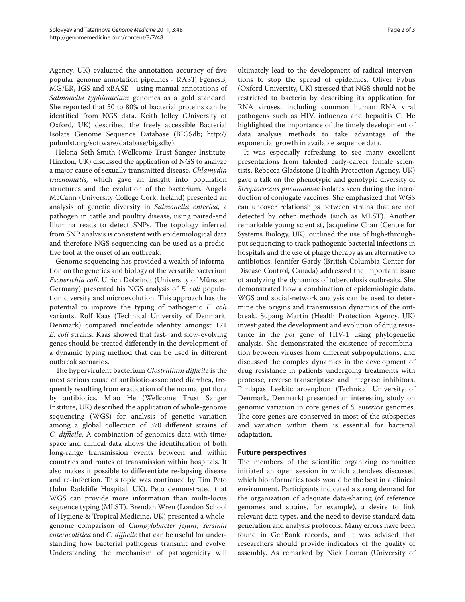Agency, UK) evaluated the annotation accuracy of five popular genome annotation pipelines - RAST, FgenesB, MG/ER, IGS and xBASE - using manual annotations of *Salmonella typhimurium* genomes as a gold standard. She reported that 50 to 80% of bacterial proteins can be identified from NGS data. Keith Jolley (University of Oxford, UK) described the freely accessible Bacterial Isolate Genome Sequence Database (BIGSdb; http:// pubmlst.org/software/database/bigsdb/).

Helena Seth-Smith (Wellcome Trust Sanger Institute, Hinxton, UK) discussed the application of NGS to analyze a major cause of sexually transmitted disease, *Chlamydia trachomatis,* which gave an insight into population structures and the evolution of the bacterium*.* Angela McCann (University College Cork, Ireland) presented an analysis of genetic diversity in *Salmonella enterica*, a pathogen in cattle and poultry disease*,* using paired-end Illumina reads to detect SNPs. The topology inferred from SNP analysis is consistent with epidemiological data and therefore NGS sequencing can be used as a predictive tool at the onset of an outbreak.

Genome sequencing has provided a wealth of information on the genetics and biology of the versatile bacterium *Escherichia coli.* Ulrich Dobrindt (University of Münster, Germany) presented his NGS analysis of *E. coli* population diversity and microevolution. This approach has the potential to improve the typing of pathogenic *E. coli*  variants. Rolf Kaas (Technical University of Denmark, Denmark) compared nucleotide identity amongst 171 *E. coli* strains. Kaas showed that fast- and slow-evolving genes should be treated differently in the development of a dynamic typing method that can be used in different outbreak scenarios.

The hypervirulent bacterium *Clostridium difficile* is the most serious cause of antibiotic-associated diarrhea, frequently resulting from eradication of the normal gut flora by antibiotics. Miao He (Wellcome Trust Sanger Institute, UK) described the application of whole-genome sequencing (WGS) for analysis of genetic variation among a global collection of 370 different strains of *C. difficile*. A combination of genomics data with time/ space and clinical data allows the identification of both long-range transmission events between and within countries and routes of transmission within hospitals. It also makes it possible to differentiate re-lapsing disease and re-infection. This topic was continued by Tim Peto (John Radcliffe Hospital, UK). Peto demonstrated that WGS can provide more information than multi-locus sequence typing (MLST). Brendan Wren (London School of Hygiene & Tropical Medicine, UK) presented a wholegenome comparison of *Campylobacter jejuni*, *Yersinia enterocolitica* and *C. difficile* that can be useful for understanding how bacterial pathogens transmit and evolve. Understanding the mechanism of pathogenicity will ultimately lead to the development of radical interventions to stop the spread of epidemics. Oliver Pybus (Oxford University, UK) stressed that NGS should not be restricted to bacteria by describing its application for RNA viruses, including common human RNA viral pathogens such as HIV, influenza and hepatitis C. He highlighted the importance of the timely development of data analysis methods to take advantage of the exponential growth in available sequence data.

It was especially refreshing to see many excellent presentations from talented early-career female scientists. Rebecca Gladstone (Health Protection Agency, UK) gave a talk on the phenotypic and genotypic diversity of *Streptococcus pneumoniae* isolates seen during the introduction of conjugate vaccines. She emphasized that WGS can uncover relationships between strains that are not detected by other methods (such as MLST). Another remarkable young scientist, Jacqueline Chan (Centre for Systems Biology, UK), outlined the use of high-throughput sequencing to track pathogenic bacterial infections in hospitals and the use of phage therapy as an alternative to antibiotics. Jennifer Gardy (British Columbia Center for Disease Control, Canada) addressed the important issue of analyzing the dynamics of tuberculosis outbreaks. She demonstrated how a combination of epidemiologic data, WGS and social-network analysis can be used to determine the origins and transmission dynamics of the outbreak. Supang Martin (Health Protection Agency, UK) investigated the development and evolution of drug resistance in the *pol* gene of HIV-1 using phylogenetic analysis. She demonstrated the existence of recombination between viruses from different subpopulations, and discussed the complex dynamics in the development of drug resistance in patients undergoing treatments with protease, reverse transcriptase and integrase inhibitors. Pimlapas Leekitcharoenphon (Technical University of Denmark, Denmark) presented an interesting study on genomic variation in core genes of *S. enterica* genomes. The core genes are conserved in most of the subspecies and variation within them is essential for bacterial adaptation.

## **Future perspectives**

The members of the scientific organizing committee initiated an open session in which attendees discussed which bioinformatics tools would be the best in a clinical environment. Participants indicated a strong demand for the organization of adequate data-sharing (of reference genomes and strains, for example), a desire to link relevant data types, and the need to devise standard data generation and analysis protocols. Many errors have been found in GenBank records, and it was advised that researchers should provide indicators of the quality of assembly. As remarked by Nick Loman (University of